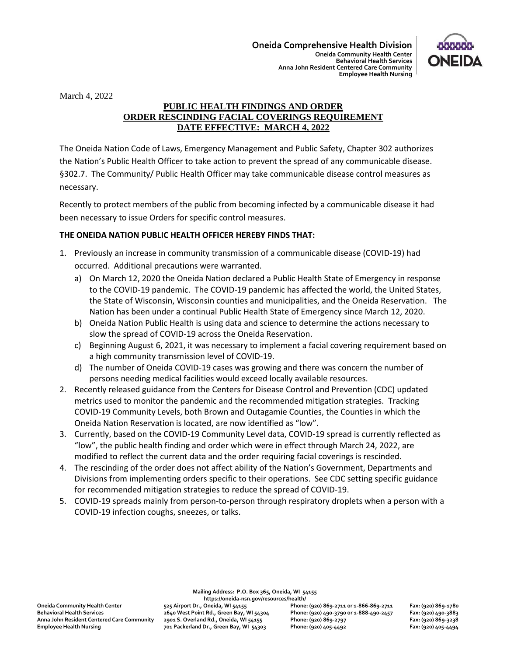

March 4, 2022

## **PUBLIC HEALTH FINDINGS AND ORDER ORDER RESCINDING FACIAL COVERINGS REQUIREMENT DATE EFFECTIVE: MARCH 4, 2022**

The Oneida Nation Code of Laws, Emergency Management and Public Safety, Chapter 302 authorizes the Nation's Public Health Officer to take action to prevent the spread of any communicable disease. §302.7. The Community/ Public Health Officer may take communicable disease control measures as necessary.

Recently to protect members of the public from becoming infected by a communicable disease it had been necessary to issue Orders for specific control measures.

## **THE ONEIDA NATION PUBLIC HEALTH OFFICER HEREBY FINDS THAT:**

- 1. Previously an increase in community transmission of a communicable disease (COVID-19) had occurred. Additional precautions were warranted.
	- a) On March 12, 2020 the Oneida Nation declared a Public Health State of Emergency in response to the COVID-19 pandemic. The COVID-19 pandemic has affected the world, the United States, the State of Wisconsin, Wisconsin counties and municipalities, and the Oneida Reservation. The Nation has been under a continual Public Health State of Emergency since March 12, 2020.
	- b) Oneida Nation Public Health is using data and science to determine the actions necessary to slow the spread of COVID-19 across the Oneida Reservation.
	- c) Beginning August 6, 2021, it was necessary to implement a facial covering requirement based on a high community transmission level of COVID-19.
	- d) The number of Oneida COVID-19 cases was growing and there was concern the number of persons needing medical facilities would exceed locally available resources.
- 2. Recently released guidance from the Centers for Disease Control and Prevention (CDC) updated metrics used to monitor the pandemic and the recommended mitigation strategies. Tracking COVID-19 Community Levels, both Brown and Outagamie Counties, the Counties in which the Oneida Nation Reservation is located, are now identified as "low".
- 3. Currently, based on the COVID-19 Community Level data, COVID-19 spread is currently reflected as "low", the public health finding and order which were in effect through March 24, 2022, are modified to reflect the current data and the order requiring facial coverings is rescinded.
- 4. The rescinding of the order does not affect ability of the Nation's Government, Departments and Divisions from implementing orders specific to their operations. See CDC setting specific guidance for recommended mitigation strategies to reduce the spread of COVID-19.
- 5. COVID-19 spreads mainly from person-to-person through respiratory droplets when a person with a COVID-19 infection coughs, sneezes, or talks.

**Mailing Address: P.O. Box 365, Oneida, WI 54155**

**Behavioral Health Services 2640 West Point Rd., Green Bay, WI 54304 Phone: (920) 490-3790 or 1-888-490-2457 Fax: (920) 490-3883 Anna John Resident Centered Care Community 2901 S. Overland Rd., Oneida, WI 54155 Phone: (920) 869-2797 Fax: (920) 869-3238 Employee Health Nursing 701 Packerland Dr., Green Bay, WI 54303 Phone: (920) 405-4492 Fax: (920) 405-4494**

**https://oneida-nsn.gov/resources/health/ Oneida Community Health Center 525 Airport Dr., Oneida, WI 54155 Phone: (920) 869-2711 or 1-866-869-2711 Fax: (920) 869-1780**